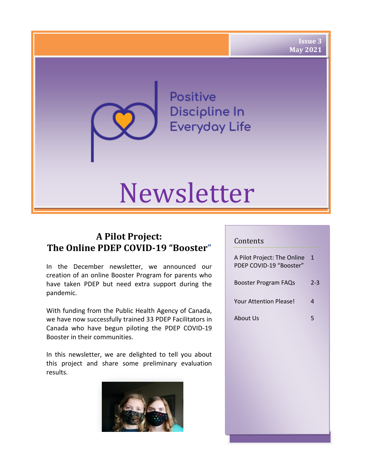**Positive** Discipline In **Everyday Life** 

# Newsletter

## **A Pilot Project: The Online PDEP COVID-19 "Booster"**

In the December newsletter, we announced our creation of an online Booster Program for parents who have taken PDEP but need extra support during the pandemic.

With funding from the Public Health Agency of Canada, we have now successfully trained 33 PDEP Facilitators in Canada who have begun piloting the PDEP COVID-19 Booster in their communities.

In this newsletter, we are delighted to tell you about this project and share some preliminary evaluation results.



#### Contents

| $\overline{1}$ |
|----------------|
| $2 - 3$        |
|                |
| 5              |
|                |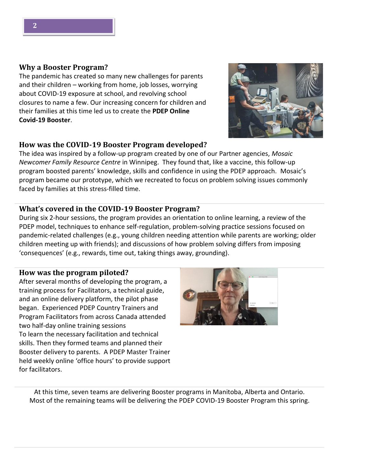#### **Why a Booster Program?**

The pandemic has created so many new challenges for parents and their children – working from home, job losses, worrying about COVID-19 exposure at school, and revolving school closures to name a few. Our increasing concern for children and their families at this time led us to create the **PDEP Online Covid-19 Booster**.

#### **How was the COVID-19 Booster Program developed?**

The idea was inspired by a follow-up program created by one of our Partner agencies, *Mosaic Newcomer Family Resource Centre* in Winnipeg. They found that, like a vaccine, this follow-up program boosted parents' knowledge, skills and confidence in using the PDEP approach. Mosaic's program became our prototype, which we recreated to focus on problem solving issues commonly faced by families at this stress-filled time.

#### **What's covered in the COVID-19 Booster Program?**

PDEP model, techniques to enhance self-regulation, problem-solving practice sessions focused on pandemic-related challenges (e.g., young children needing attention while parents are working; older children meeting up with friends); and discussions of how problem solving differs from imposing 'consequences' (e.g., rewards, time out, taking things away, grounding). During six 2-hour sessions, the program provides an orientation to online learning, a review of the

## How was the program piloted?

After several months of developing the program, a training process for Facilitators, a technical guide, and an online delivery platform, the pilot phase began. Experienced PDEP Country Trainers and Program Facilitators from across Canada attended two half-day online training sessions To learn the necessary facilitation and technical skills. Then they formed teams and planned their Booster delivery to parents. A PDEP Master Trainer held weekly online 'office hours' to provide support for facilitators.

At this time, seven teams are delivering Booster programs in Manitoba, Alberta and Ontario. Most of the remaining teams will be delivering the PDEP COVID-19 Booster Program this spring.

**2**



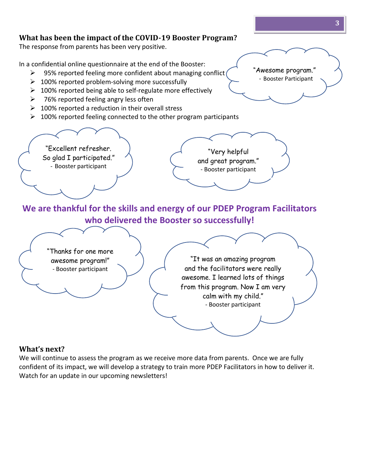#### **What has been the impact of the COVID-19 Booster Program?**

The response from parents has been very positive.

In a confidential online questionnaire at the end of the Booster:

- $\triangleright$  95% reported feeling more confident about managing conflict
- $\geq 100\%$  reported problem-solving more successfully
- ➢ 100% reported being able to self-regulate more effectively
- $\geq$  76% reported feeling angry less often

"Excellent refresher. So glad I participated." - Booster participant

- $\geq 100\%$  reported a reduction in their overall stress
- $\geq 100\%$  reported feeling connected to the other program participants

"Awesome program." - Booster Participant

**We are thankful for the skills and energy of our PDEP Program Facilitators who delivered the Booster so successfully!** Thanks for one more awesome program!"

- Booster participant

"It was an amazing program and the facilitators were really awesome. I learned lots of things from this program. Now I am very calm with my child." - Booster participant

"Very helpful and great program." - Booster participant

#### **What's next?**

We will continue to assess the program as we receive more data from parents. Once we are fully confident of its impact, we will develop a strategy to train more PDEP Facilitators in how to deliver it. Watch for an update in our upcoming newsletters!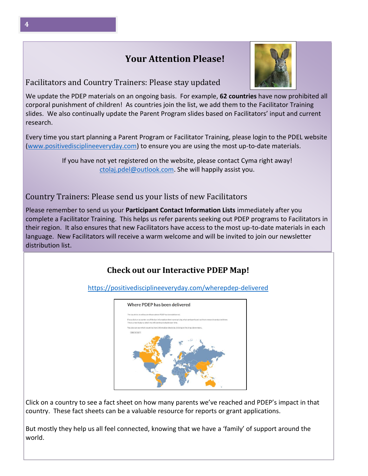# **Your Attention Please!**



Facilitators and Country Trainers: Please stay updated

We update the PDEP materials on an ongoing basis. For example, **62 countries** have now prohibited all corporal punishment of children! As countries join the list, we add them to the Facilitator Training slides. We also continually update the Parent Program slides based on Facilitators' input and current research.

Every time you start planning a Parent Program or Facilitator Training, please login to the PDEL website (www.positivedisciplineeveryday.com) to ensure you are using the most up-to-date materials.

> If you have not yet registered on the website, please contact Cyma right away! [ctolaj.pdel@outlook.com.](mailto:ctolaj.pdel@outlook.com) She will happily assist you.

#### Country Trainers: Please send us your lists of new Facilitators

Please remember to send us your **Participant Contact Information Lists** immediately after you complete a Facilitator Training. This helps us refer parents seeking out PDEP programs to Facilitators in their region. It also ensures that new Facilitators have access to the most up-to-date materials in each language. New Facilitators will receive a warm welcome and will be invited to join our newsletter distribution list.

# **Check out our Interactive PDEP Map!**

https://positivedisciplineeveryday.com/wherepdep-delivered

|                  | Where PDEP has been delivered                                                                                                                                                                      |
|------------------|----------------------------------------------------------------------------------------------------------------------------------------------------------------------------------------------------|
|                  | The countries in yellow are those where PDEP has been delivered.                                                                                                                                   |
|                  | If you click on a country, you'll find an information sheet summarizing what we have found out from research conducted there.<br>This is a new feature, which we will continue to build over time. |
|                  | You also can see which countries have information sheets by clicking on the drop-down menu.                                                                                                        |
| Select an area v |                                                                                                                                                                                                    |
|                  |                                                                                                                                                                                                    |

Click on a country to see a fact sheet on how many parents we've reached and PDEP's impact in that country. These fact sheets can be a valuable resource for reports or grant applications.

But mostly they help us all feel connected, knowing that we have a 'family' of support around the world.